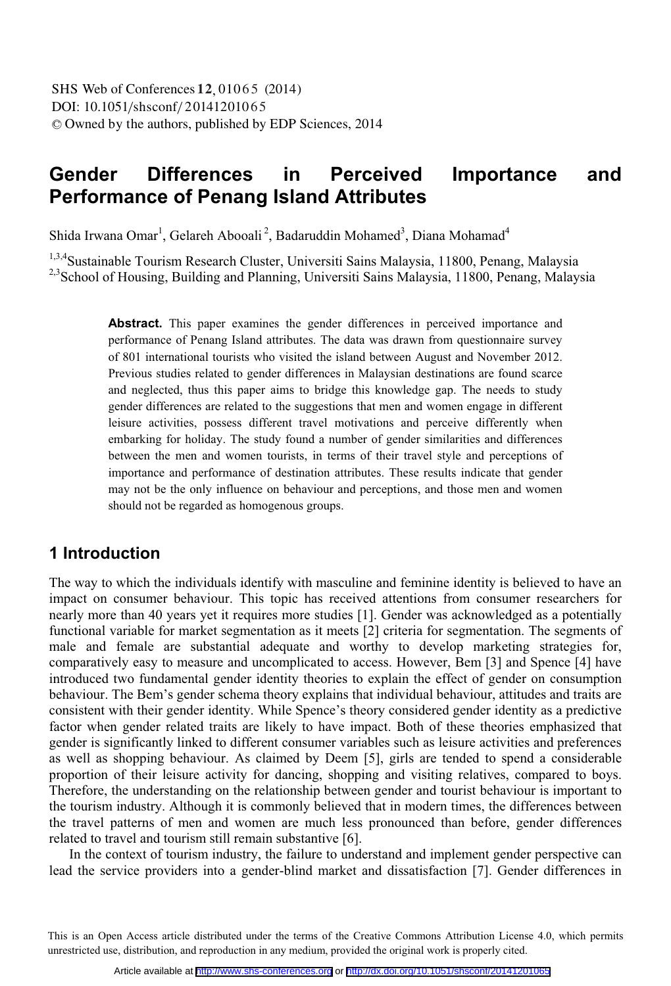# **Gender Differences in Perceived Importance and Performance of Penang Island Attributes**

Shida Irwana Omar<sup>1</sup>, Gelareh Abooali<sup>2</sup>, Badaruddin Mohamed<sup>3</sup>, Diana Mohamad<sup>4</sup>

1,3,4 Sustainable Tourism Research Cluster, Universiti Sains Malaysia, 11800, Penang, Malaysia <sup>2,3</sup>School of Housing, Building and Planning, Universiti Sains Malaysia, 11800, Penang, Malaysia

> **Abstract.** This paper examines the gender differences in perceived importance and performance of Penang Island attributes. The data was drawn from questionnaire survey of 801 international tourists who visited the island between August and November 2012. Previous studies related to gender differences in Malaysian destinations are found scarce and neglected, thus this paper aims to bridge this knowledge gap. The needs to study gender differences are related to the suggestions that men and women engage in different leisure activities, possess different travel motivations and perceive differently when embarking for holiday. The study found a number of gender similarities and differences between the men and women tourists, in terms of their travel style and perceptions of importance and performance of destination attributes. These results indicate that gender may not be the only influence on behaviour and perceptions, and those men and women should not be regarded as homogenous groups.

### **1 Introduction**

The way to which the individuals identify with masculine and feminine identity is believed to have an impact on consumer behaviour. This topic has received attentions from consumer researchers for nearly more than 40 years yet it requires more studies [1]. Gender was acknowledged as a potentially functional variable for market segmentation as it meets [2] criteria for segmentation. The segments of male and female are substantial adequate and worthy to develop marketing strategies for, comparatively easy to measure and uncomplicated to access. However, Bem [3] and Spence [4] have introduced two fundamental gender identity theories to explain the effect of gender on consumption behaviour. The Bem's gender schema theory explains that individual behaviour, attitudes and traits are consistent with their gender identity. While Spence's theory considered gender identity as a predictive factor when gender related traits are likely to have impact. Both of these theories emphasized that gender is significantly linked to different consumer variables such as leisure activities and preferences as well as shopping behaviour. As claimed by Deem [5], girls are tended to spend a considerable proportion of their leisure activity for dancing, shopping and visiting relatives, compared to boys. Therefore, the understanding on the relationship between gender and tourist behaviour is important to the tourism industry. Although it is commonly believed that in modern times, the differences between the travel patterns of men and women are much less pronounced than before, gender differences related to travel and tourism still remain substantive [6].

In the context of tourism industry, the failure to understand and implement gender perspective can lead the service providers into a gender-blind market and dissatisfaction [7]. Gender differences in

 This is an Open Access article distributed under the terms of the Creative Commons Attribution License 4.0, which permits unrestricted use, distribution, and reproduction in any medium, provided the original work is properly cited.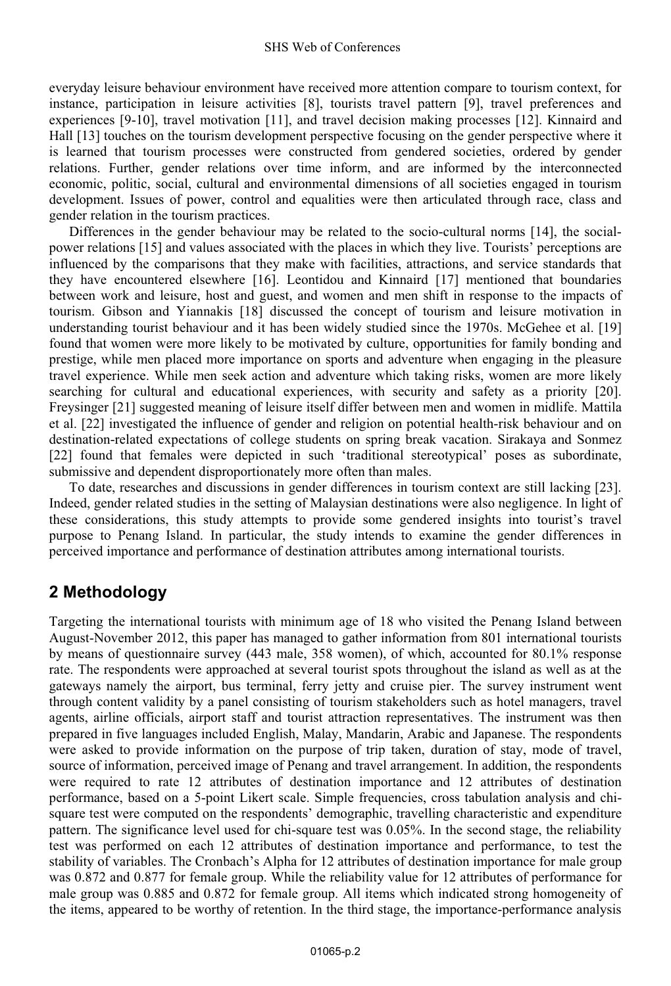everyday leisure behaviour environment have received more attention compare to tourism context, for instance, participation in leisure activities [8], tourists travel pattern [9], travel preferences and experiences [9-10], travel motivation [11], and travel decision making processes [12]. Kinnaird and Hall [13] touches on the tourism development perspective focusing on the gender perspective where it is learned that tourism processes were constructed from gendered societies, ordered by gender relations. Further, gender relations over time inform, and are informed by the interconnected economic, politic, social, cultural and environmental dimensions of all societies engaged in tourism development. Issues of power, control and equalities were then articulated through race, class and gender relation in the tourism practices.

Differences in the gender behaviour may be related to the socio-cultural norms [14], the socialpower relations [15] and values associated with the places in which they live. Tourists' perceptions are influenced by the comparisons that they make with facilities, attractions, and service standards that they have encountered elsewhere [16]. Leontidou and Kinnaird [17] mentioned that boundaries between work and leisure, host and guest, and women and men shift in response to the impacts of tourism. Gibson and Yiannakis [18] discussed the concept of tourism and leisure motivation in understanding tourist behaviour and it has been widely studied since the 1970s. McGehee et al. [19] found that women were more likely to be motivated by culture, opportunities for family bonding and prestige, while men placed more importance on sports and adventure when engaging in the pleasure travel experience. While men seek action and adventure which taking risks, women are more likely searching for cultural and educational experiences, with security and safety as a priority [20]. Freysinger [21] suggested meaning of leisure itself differ between men and women in midlife. Mattila et al. [22] investigated the influence of gender and religion on potential health-risk behaviour and on destination-related expectations of college students on spring break vacation. Sirakaya and Sonmez [22] found that females were depicted in such 'traditional stereotypical' poses as subordinate, submissive and dependent disproportionately more often than males.

To date, researches and discussions in gender differences in tourism context are still lacking [23]. Indeed, gender related studies in the setting of Malaysian destinations were also negligence. In light of these considerations, this study attempts to provide some gendered insights into tourist's travel purpose to Penang Island. In particular, the study intends to examine the gender differences in perceived importance and performance of destination attributes among international tourists.

# **2 Methodology**

Targeting the international tourists with minimum age of 18 who visited the Penang Island between August-November 2012, this paper has managed to gather information from 801 international tourists by means of questionnaire survey (443 male, 358 women), of which, accounted for 80.1% response rate. The respondents were approached at several tourist spots throughout the island as well as at the gateways namely the airport, bus terminal, ferry jetty and cruise pier. The survey instrument went through content validity by a panel consisting of tourism stakeholders such as hotel managers, travel agents, airline officials, airport staff and tourist attraction representatives. The instrument was then prepared in five languages included English, Malay, Mandarin, Arabic and Japanese. The respondents were asked to provide information on the purpose of trip taken, duration of stay, mode of travel, source of information, perceived image of Penang and travel arrangement. In addition, the respondents were required to rate 12 attributes of destination importance and 12 attributes of destination performance, based on a 5-point Likert scale. Simple frequencies, cross tabulation analysis and chisquare test were computed on the respondents' demographic, travelling characteristic and expenditure pattern. The significance level used for chi-square test was 0.05%. In the second stage, the reliability test was performed on each 12 attributes of destination importance and performance, to test the stability of variables. The Cronbach's Alpha for 12 attributes of destination importance for male group was 0.872 and 0.877 for female group. While the reliability value for 12 attributes of performance for male group was 0.885 and 0.872 for female group. All items which indicated strong homogeneity of the items, appeared to be worthy of retention. In the third stage, the importance-performance analysis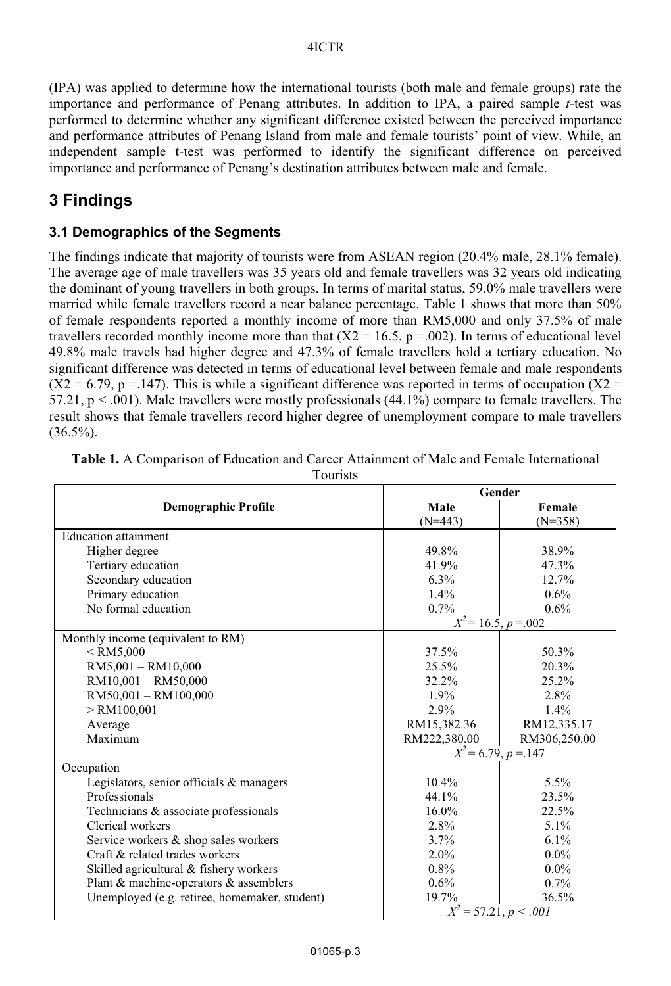(IPA) was applied to determine how the international tourists (both male and female groups) rate the importance and performance of Penang attributes. In addition to IPA, a paired sample *t*-test was performed to determine whether any significant difference existed between the perceived importance and performance attributes of Penang Island from male and female tourists' point of view. While, an independent sample t-test was performed to identify the significant difference on perceived importance and performance of Penang's destination attributes between male and female.

## **3 Findings**

#### **3.1 Demographics of the Segments**

The findings indicate that majority of tourists were from ASEAN region (20.4% male, 28.1% female). The average age of male travellers was 35 years old and female travellers was 32 years old indicating the dominant of young travellers in both groups. In terms of marital status, 59.0% male travellers were married while female travellers record a near balance percentage. Table 1 shows that more than 50% of female respondents reported a monthly income of more than RM5,000 and only 37.5% of male travellers recorded monthly income more than that  $(X2 = 16.5, p = .002)$ . In terms of educational level 49.8% male travels had higher degree and 47.3% of female travellers hold a tertiary education. No significant difference was detected in terms of educational level between female and male respondents  $(X2 = 6.79, p = 147)$ . This is while a significant difference was reported in terms of occupation  $(X2 = 6.79, p = 147)$ . 57.21,  $p < .001$ ). Male travellers were mostly professionals (44.1%) compare to female travellers. The result shows that female travellers record higher degree of unemployment compare to male travellers  $(36.5\%)$ .

|                                               | Gender                  |              |  |  |  |
|-----------------------------------------------|-------------------------|--------------|--|--|--|
| <b>Demographic Profile</b>                    | Male                    | Female       |  |  |  |
|                                               | $(N=443)$               | $(N=358)$    |  |  |  |
| <b>Education attainment</b>                   |                         |              |  |  |  |
| Higher degree                                 | 49.8%                   | 38.9%        |  |  |  |
| Tertiary education                            | 41.9%                   | 47.3%        |  |  |  |
| Secondary education                           | $6.3\%$                 | 12.7%        |  |  |  |
| Primary education                             | $1.4\%$                 | $0.6\%$      |  |  |  |
| No formal education                           | 0.7%                    | $0.6\%$      |  |  |  |
|                                               | $X^2$ = 16.5, p = 002   |              |  |  |  |
| Monthly income (equivalent to RM)             |                         |              |  |  |  |
| $<$ RM5,000                                   | $37.5\%$                | 50.3%        |  |  |  |
| $RM5.001 - RM10.000$                          | $25.5\%$                | 20.3%        |  |  |  |
| RM10,001 - RM50,000                           | $32.2\%$                | 25.2%        |  |  |  |
| RM50,001 - RM100,000                          | $1.9\%$                 | 2.8%         |  |  |  |
| $>$ RM100,001                                 | 2.9%                    | 1.4%         |  |  |  |
| Average                                       | RM15,382.36             | RM12,335.17  |  |  |  |
| Maximum                                       | RM222,380.00            | RM306,250.00 |  |  |  |
|                                               | $X^2$ = 6.79, p = 147   |              |  |  |  |
| Occupation                                    |                         |              |  |  |  |
| Legislators, senior officials & managers      | $10.4\%$                | $5.5\%$      |  |  |  |
| Professionals                                 | 44.1%                   | 23.5%        |  |  |  |
| Technicians & associate professionals         | $16.0\%$                | 22.5%        |  |  |  |
| Clerical workers                              | $2.8\%$                 | $5.1\%$      |  |  |  |
| Service workers & shop sales workers          | $3.7\%$                 | $6.1\%$      |  |  |  |
| Craft & related trades workers                | $2.0\%$                 | $0.0\%$      |  |  |  |
| Skilled agricultural & fishery workers        | $0.8\%$                 | $0.0\%$      |  |  |  |
| Plant & machine-operators & assemblers        | $0.6\%$                 | $0.7\%$      |  |  |  |
| Unemployed (e.g. retiree, homemaker, student) | 19.7%                   | 36.5%        |  |  |  |
|                                               | $X^2$ = 57.21, p < .001 |              |  |  |  |

**Table 1.** A Comparison of Education and Career Attainment of Male and Female International Tourists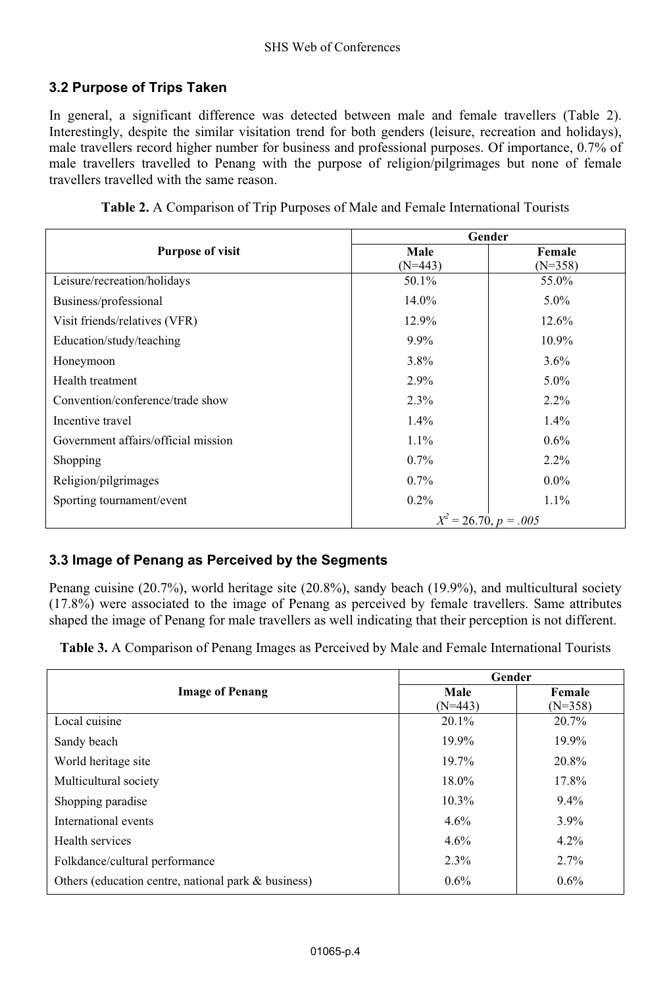#### **3.2 Purpose of Trips Taken**

In general, a significant difference was detected between male and female travellers (Table 2). Interestingly, despite the similar visitation trend for both genders (leisure, recreation and holidays), male travellers record higher number for business and professional purposes. Of importance, 0.7% of male travellers travelled to Penang with the purpose of religion/pilgrimages but none of female travellers travelled with the same reason.

|                                     | Gender                  |           |  |  |
|-------------------------------------|-------------------------|-----------|--|--|
| <b>Purpose of visit</b>             | Male                    | Female    |  |  |
|                                     | $(N=443)$               | $(N=358)$ |  |  |
| Leisure/recreation/holidays         | 50.1%                   | 55.0%     |  |  |
| Business/professional               | $14.0\%$                | $5.0\%$   |  |  |
| Visit friends/relatives (VFR)       | $12.9\%$                | $12.6\%$  |  |  |
| Education/study/teaching            | $9.9\%$                 | $10.9\%$  |  |  |
| Honeymoon                           | $3.8\%$                 | $3.6\%$   |  |  |
| Health treatment                    | $2.9\%$                 | $5.0\%$   |  |  |
| Convention/conference/trade show    | $2.3\%$                 | $2.2\%$   |  |  |
| Incentive travel                    | $1.4\%$                 | $1.4\%$   |  |  |
| Government affairs/official mission | $1.1\%$                 | $0.6\%$   |  |  |
| Shopping                            | $0.7\%$                 | $2.2\%$   |  |  |
| Religion/pilgrimages                | $0.7\%$                 | $0.0\%$   |  |  |
| Sporting tournament/event           | $0.2\%$                 | $1.1\%$   |  |  |
|                                     | $X^2 = 26.70, p = .005$ |           |  |  |

**Table 2.** A Comparison of Trip Purposes of Male and Female International Tourists

#### **3.3 Image of Penang as Perceived by the Segments**

Penang cuisine (20.7%), world heritage site (20.8%), sandy beach (19.9%), and multicultural society (17.8%) were associated to the image of Penang as perceived by female travellers. Same attributes shaped the image of Penang for male travellers as well indicating that their perception is not different.

**Table 3.** A Comparison of Penang Images as Perceived by Male and Female International Tourists

|                                                     | Gender    |           |  |  |
|-----------------------------------------------------|-----------|-----------|--|--|
| <b>Image of Penang</b>                              | Male      | Female    |  |  |
|                                                     | $(N=443)$ | $(N=358)$ |  |  |
| Local cuisine                                       | $20.1\%$  | 20.7%     |  |  |
| Sandy beach                                         | 19.9%     | 19.9%     |  |  |
| World heritage site                                 | 19.7%     | 20.8%     |  |  |
| Multicultural society                               | $18.0\%$  | 17.8%     |  |  |
| Shopping paradise                                   | $10.3\%$  | $9.4\%$   |  |  |
| International events                                | $4.6\%$   | $3.9\%$   |  |  |
| Health services                                     | $4.6\%$   | $4.2\%$   |  |  |
| Folkdance/cultural performance                      | $2.3\%$   | $2.7\%$   |  |  |
| Others (education centre, national park & business) | $0.6\%$   | $0.6\%$   |  |  |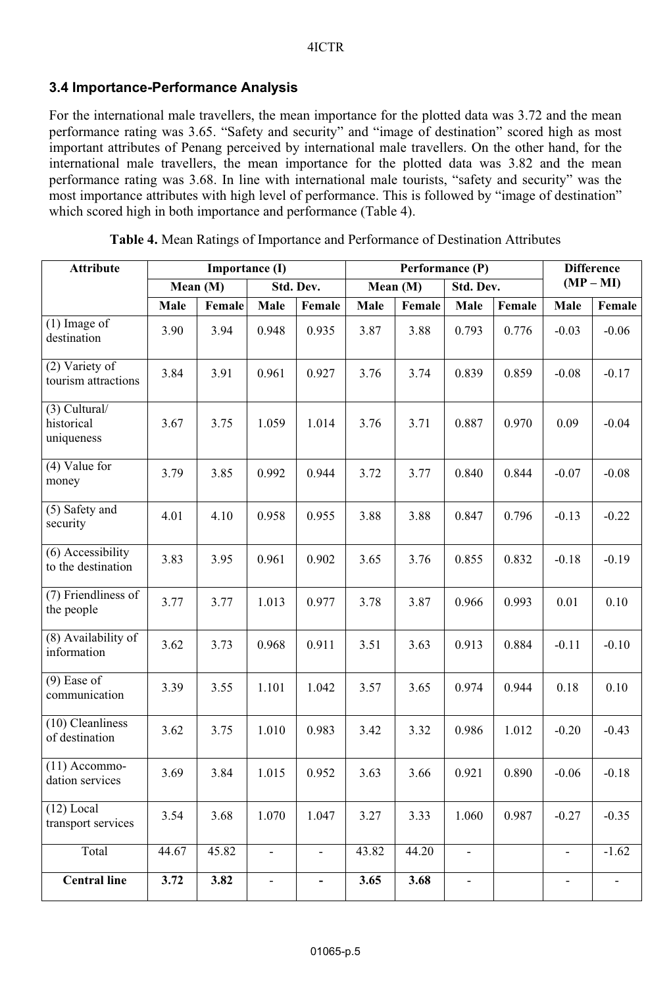#### **3.4 Importance-Performance Analysis**

For the international male travellers, the mean importance for the plotted data was 3.72 and the mean performance rating was 3.65. "Safety and security" and "image of destination" scored high as most important attributes of Penang perceived by international male travellers. On the other hand, for the international male travellers, the mean importance for the plotted data was 3.82 and the mean performance rating was 3.68. In line with international male tourists, "safety and security" was the most importance attributes with high level of performance. This is followed by "image of destination" which scored high in both importance and performance (Table 4).

| <b>Attribute</b>                            | Importance (I)          |        |                          | $\overline{\text{Performance}}$ (P) |       |             | <b>Difference</b> |        |                          |                          |
|---------------------------------------------|-------------------------|--------|--------------------------|-------------------------------------|-------|-------------|-------------------|--------|--------------------------|--------------------------|
|                                             | Mean $(M)$<br>Std. Dev. |        |                          | Mean $(M)$<br>Std. Dev.             |       | $(MP - MI)$ |                   |        |                          |                          |
|                                             | Male                    | Female | Male                     | Female                              | Male  | Female      | Male              | Female | Male                     | Female                   |
| $(1)$ Image of<br>destination               | 3.90                    | 3.94   | 0.948                    | 0.935                               | 3.87  | 3.88        | 0.793             | 0.776  | $-0.03$                  | $-0.06$                  |
| (2) Variety of<br>tourism attractions       | 3.84                    | 3.91   | 0.961                    | 0.927                               | 3.76  | 3.74        | 0.839             | 0.859  | $-0.08$                  | $-0.17$                  |
| $(3)$ Cultural/<br>historical<br>uniqueness | 3.67                    | 3.75   | 1.059                    | 1.014                               | 3.76  | 3.71        | 0.887             | 0.970  | 0.09                     | $-0.04$                  |
| $(4)$ Value for<br>money                    | 3.79                    | 3.85   | 0.992                    | 0.944                               | 3.72  | 3.77        | 0.840             | 0.844  | $-0.07$                  | $-0.08$                  |
| (5) Safety and<br>security                  | 4.01                    | 4.10   | 0.958                    | 0.955                               | 3.88  | 3.88        | 0.847             | 0.796  | $-0.13$                  | $-0.22$                  |
| $(6)$ Accessibility<br>to the destination   | 3.83                    | 3.95   | 0.961                    | 0.902                               | 3.65  | 3.76        | 0.855             | 0.832  | $-0.18$                  | $-0.19$                  |
| (7) Friendliness of<br>the people           | 3.77                    | 3.77   | 1.013                    | 0.977                               | 3.78  | 3.87        | 0.966             | 0.993  | 0.01                     | 0.10                     |
| (8) Availability of<br>information          | 3.62                    | 3.73   | 0.968                    | 0.911                               | 3.51  | 3.63        | 0.913             | 0.884  | $-0.11$                  | $-0.10$                  |
| $(9)$ Ease of<br>communication              | 3.39                    | 3.55   | 1.101                    | 1.042                               | 3.57  | 3.65        | 0.974             | 0.944  | 0.18                     | 0.10                     |
| $(10)$ Cleanliness<br>of destination        | 3.62                    | 3.75   | 1.010                    | 0.983                               | 3.42  | 3.32        | 0.986             | 1.012  | $-0.20$                  | $-0.43$                  |
| $(11)$ Accommo-<br>dation services          | 3.69                    | 3.84   | 1.015                    | 0.952                               | 3.63  | 3.66        | 0.921             | 0.890  | $-0.06$                  | $-0.18$                  |
| $(12)$ Local<br>transport services          | 3.54                    | 3.68   | 1.070                    | 1.047                               | 3.27  | 3.33        | 1.060             | 0.987  | $-0.27$                  | $-0.35$                  |
| Total                                       | 44.67                   | 45.82  | $\frac{1}{2}$            | $\overline{a}$                      | 43.82 | 44.20       | $\overline{a}$    |        |                          | $-1.62$                  |
| <b>Central line</b>                         | 3.72                    | 3.82   | $\overline{\phantom{a}}$ | $\blacksquare$                      | 3.65  | 3.68        | $\blacksquare$    |        | $\overline{\phantom{a}}$ | $\overline{\phantom{m}}$ |

**Table 4.** Mean Ratings of Importance and Performance of Destination Attributes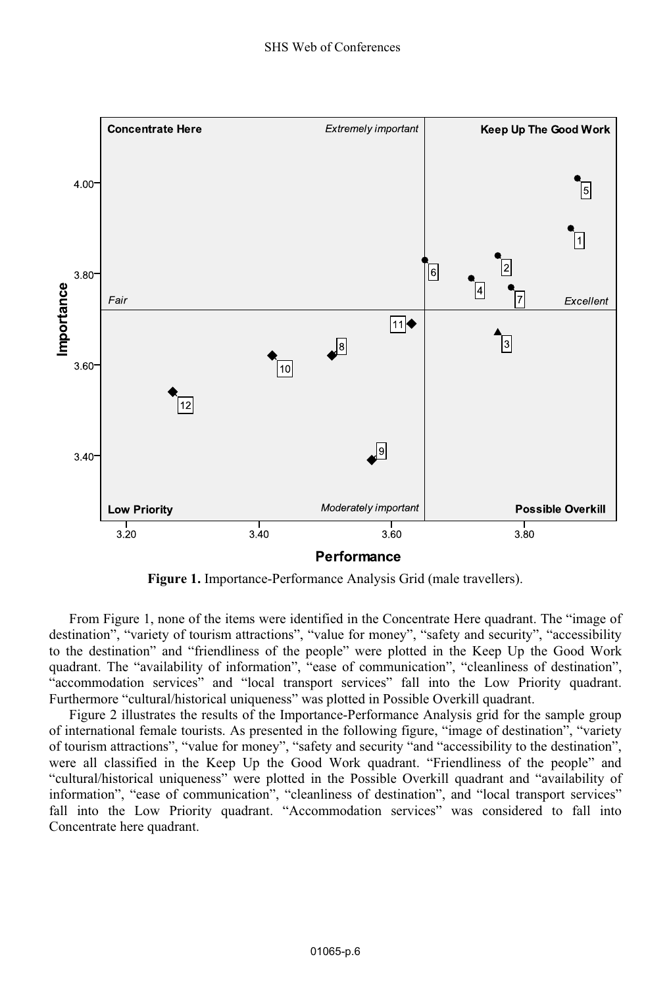

**Figure 1.** Importance-Performance Analysis Grid (male travellers).

From Figure 1, none of the items were identified in the Concentrate Here quadrant. The "image of destination", "variety of tourism attractions", "value for money", "safety and security", "accessibility to the destination" and "friendliness of the people" were plotted in the Keep Up the Good Work quadrant. The "availability of information", "ease of communication", "cleanliness of destination", "accommodation services" and "local transport services" fall into the Low Priority quadrant. Furthermore "cultural/historical uniqueness" was plotted in Possible Overkill quadrant.

Figure 2 illustrates the results of the Importance-Performance Analysis grid for the sample group of international female tourists. As presented in the following figure, "image of destination", "variety of tourism attractions", "value for money", "safety and security "and "accessibility to the destination", were all classified in the Keep Up the Good Work quadrant. "Friendliness of the people" and "cultural/historical uniqueness" were plotted in the Possible Overkill quadrant and "availability of information", "ease of communication", "cleanliness of destination", and "local transport services" fall into the Low Priority quadrant. "Accommodation services" was considered to fall into Concentrate here quadrant.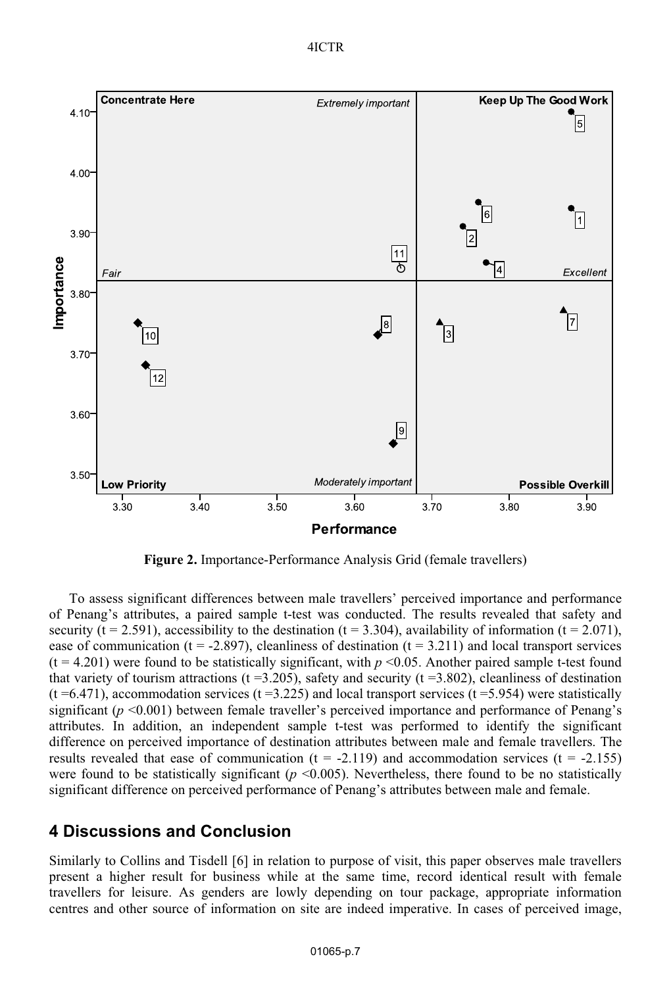



**Figure 2.** Importance-Performance Analysis Grid (female travellers)

To assess significant differences between male travellers' perceived importance and performance of Penang's attributes, a paired sample t-test was conducted. The results revealed that safety and security (t = 2.591), accessibility to the destination (t = 3.304), availability of information (t = 2.071), ease of communication (t = -2.897), cleanliness of destination (t = 3.211) and local transport services  $(t = 4.201)$  were found to be statistically significant, with  $p \le 0.05$ . Another paired sample t-test found that variety of tourism attractions (t =3.205), safety and security (t =3.802), cleanliness of destination  $(t = 6.471)$ , accommodation services  $(t = 3.225)$  and local transport services  $(t = 5.954)$  were statistically significant ( $p \le 0.001$ ) between female traveller's perceived importance and performance of Penang's attributes. In addition, an independent sample t-test was performed to identify the significant difference on perceived importance of destination attributes between male and female travellers. The results revealed that ease of communication ( $t = -2.119$ ) and accommodation services ( $t = -2.155$ ) were found to be statistically significant ( $p \le 0.005$ ). Nevertheless, there found to be no statistically significant difference on perceived performance of Penang's attributes between male and female.

#### **4 Discussions and Conclusion**

Similarly to Collins and Tisdell [6] in relation to purpose of visit, this paper observes male travellers present a higher result for business while at the same time, record identical result with female travellers for leisure. As genders are lowly depending on tour package, appropriate information centres and other source of information on site are indeed imperative. In cases of perceived image,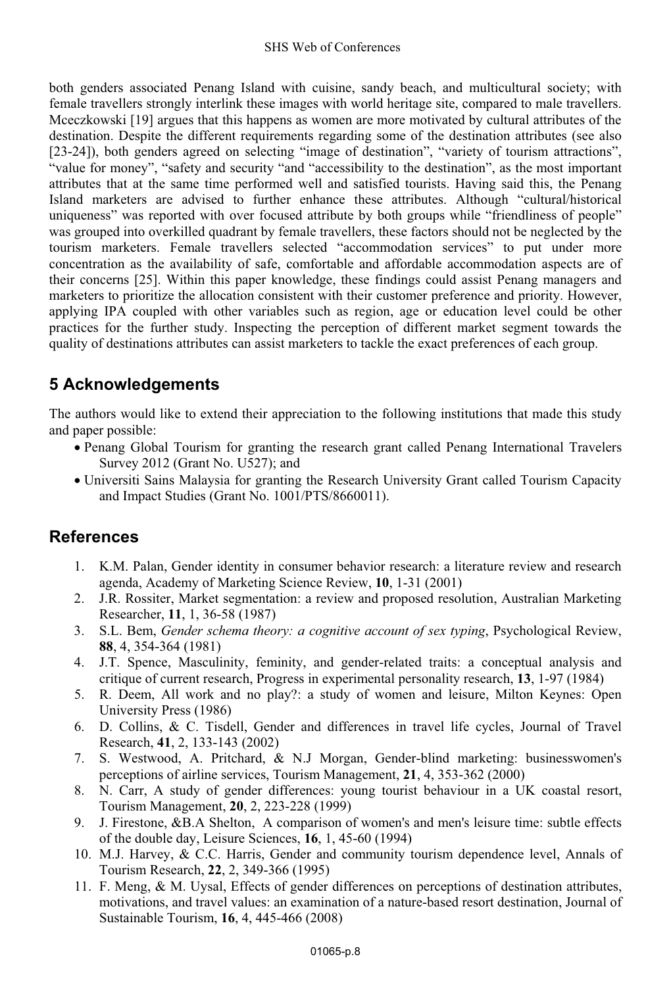both genders associated Penang Island with cuisine, sandy beach, and multicultural society; with female travellers strongly interlink these images with world heritage site, compared to male travellers. Mceczkowski [19] argues that this happens as women are more motivated by cultural attributes of the destination. Despite the different requirements regarding some of the destination attributes (see also [23-24]), both genders agreed on selecting "image of destination", "variety of tourism attractions", "value for money", "safety and security "and "accessibility to the destination", as the most important attributes that at the same time performed well and satisfied tourists. Having said this, the Penang Island marketers are advised to further enhance these attributes. Although "cultural/historical uniqueness" was reported with over focused attribute by both groups while "friendliness of people" was grouped into overkilled quadrant by female travellers, these factors should not be neglected by the tourism marketers. Female travellers selected "accommodation services" to put under more concentration as the availability of safe, comfortable and affordable accommodation aspects are of their concerns [25]. Within this paper knowledge, these findings could assist Penang managers and marketers to prioritize the allocation consistent with their customer preference and priority. However, applying IPA coupled with other variables such as region, age or education level could be other practices for the further study. Inspecting the perception of different market segment towards the quality of destinations attributes can assist marketers to tackle the exact preferences of each group.

### **5 Acknowledgements**

The authors would like to extend their appreciation to the following institutions that made this study and paper possible:

- Penang Global Tourism for granting the research grant called Penang International Travelers Survey 2012 (Grant No. U527); and
- Universiti Sains Malaysia for granting the Research University Grant called Tourism Capacity and Impact Studies (Grant No. 1001/PTS/8660011).

### **References**

- 1. K.M. Palan, Gender identity in consumer behavior research: a literature review and research agenda, Academy of Marketing Science Review, **10**, 1-31 (2001)
- 2. J.R. Rossiter, Market segmentation: a review and proposed resolution, Australian Marketing Researcher, **11**, 1, 36-58 (1987)
- 3. S.L. Bem, *Gender schema theory: a cognitive account of sex typing*, Psychological Review, **88**, 4, 354-364 (1981)
- 4. J.T. Spence, Masculinity, feminity, and gender-related traits: a conceptual analysis and critique of current research, Progress in experimental personality research, **13**, 1-97 (1984)
- 5. R. Deem, All work and no play?: a study of women and leisure, Milton Keynes: Open University Press (1986)
- 6. D. Collins, & C. Tisdell, Gender and differences in travel life cycles, Journal of Travel Research, **41**, 2, 133-143 (2002)
- 7. S. Westwood, A. Pritchard, & N.J Morgan, Gender-blind marketing: businesswomen's perceptions of airline services, Tourism Management, **21**, 4, 353-362 (2000)
- 8. N. Carr, A study of gender differences: young tourist behaviour in a UK coastal resort, Tourism Management, **20**, 2, 223-228 (1999)
- 9. J. Firestone, &B.A Shelton, A comparison of women's and men's leisure time: subtle effects of the double day, Leisure Sciences, **16**, 1, 45-60 (1994)
- 10. M.J. Harvey, & C.C. Harris, Gender and community tourism dependence level, Annals of Tourism Research, **22**, 2, 349-366 (1995)
- 11. F. Meng, & M. Uysal, Effects of gender differences on perceptions of destination attributes, motivations, and travel values: an examination of a nature-based resort destination, Journal of Sustainable Tourism, **16**, 4, 445-466 (2008)